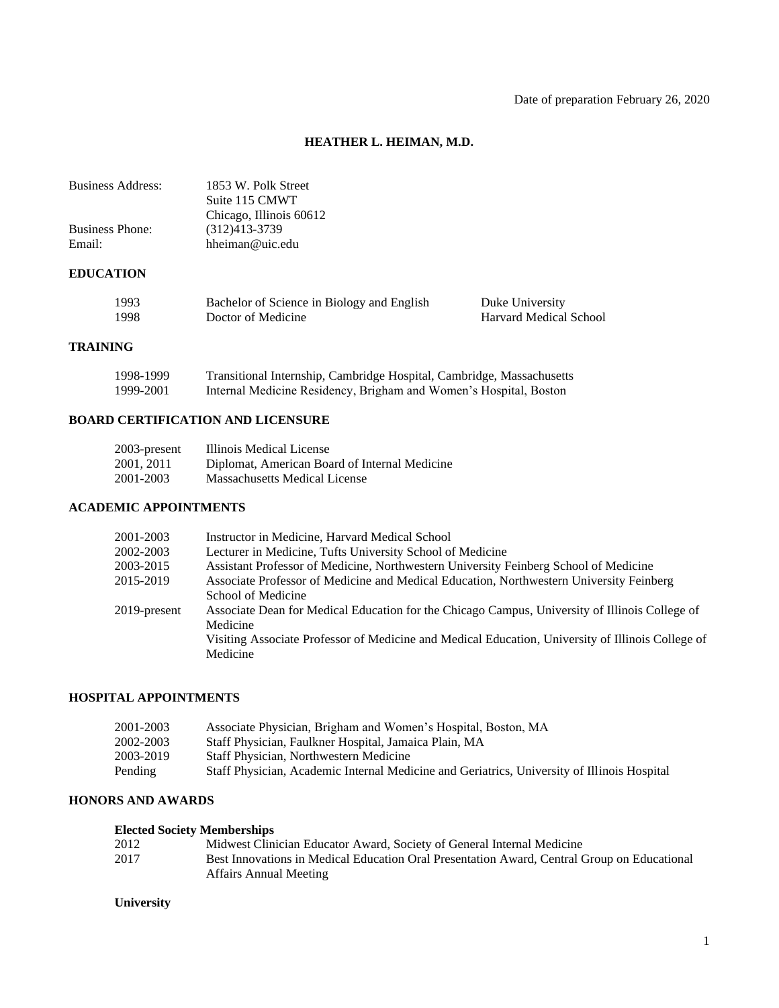# **HEATHER L. HEIMAN, M.D.**

| <b>Business Address:</b> | 1853 W. Polk Street<br>Suite 115 CMWT<br>Chicago, Illinois 60612 |                               |
|--------------------------|------------------------------------------------------------------|-------------------------------|
| <b>Business Phone:</b>   | $(312)413 - 3739$                                                |                               |
| Email:                   | hheiman@uic.edu                                                  |                               |
| <b>EDUCATION</b>         |                                                                  |                               |
| 1993                     | Bachelor of Science in Biology and English                       | Duke University               |
| 1998                     | Doctor of Medicine                                               | <b>Harvard Medical School</b> |

## **TRAINING**

| 1998-1999 | Transitional Internship, Cambridge Hospital, Cambridge, Massachusetts |
|-----------|-----------------------------------------------------------------------|
| 1999-2001 | Internal Medicine Residency, Brigham and Women's Hospital, Boston     |

# **BOARD CERTIFICATION AND LICENSURE**

| 2003-present | Illinois Medical License                      |
|--------------|-----------------------------------------------|
| 2001, 2011   | Diplomat, American Board of Internal Medicine |
| 2001-2003    | Massachusetts Medical License                 |

## **ACADEMIC APPOINTMENTS**

| 2001-2003    | Instructor in Medicine, Harvard Medical School                                                    |
|--------------|---------------------------------------------------------------------------------------------------|
| 2002-2003    | Lecturer in Medicine, Tufts University School of Medicine                                         |
| 2003-2015    | Assistant Professor of Medicine, Northwestern University Feinberg School of Medicine              |
| 2015-2019    | Associate Professor of Medicine and Medical Education, Northwestern University Feinberg           |
|              | School of Medicine                                                                                |
| 2019-present | Associate Dean for Medical Education for the Chicago Campus, University of Illinois College of    |
|              | Medicine                                                                                          |
|              | Visiting Associate Professor of Medicine and Medical Education, University of Illinois College of |
|              | Medicine                                                                                          |
|              |                                                                                                   |

## **HOSPITAL APPOINTMENTS**

| 2001-2003 | Associate Physician, Brigham and Women's Hospital, Boston, MA                               |
|-----------|---------------------------------------------------------------------------------------------|
| 2002-2003 | Staff Physician, Faulkner Hospital, Jamaica Plain, MA                                       |
| 2003-2019 | <b>Staff Physician. Northwestern Medicine</b>                                               |
| Pending   | Staff Physician, Academic Internal Medicine and Geriatrics, University of Illinois Hospital |

## **HONORS AND AWARDS**

# **Elected Society Memberships**

| 2012 | Midwest Clinician Educator Award, Society of General Internal Medicine                      |
|------|---------------------------------------------------------------------------------------------|
| 2017 | Best Innovations in Medical Education Oral Presentation Award, Central Group on Educational |
|      | <b>Affairs Annual Meeting</b>                                                               |

## **University**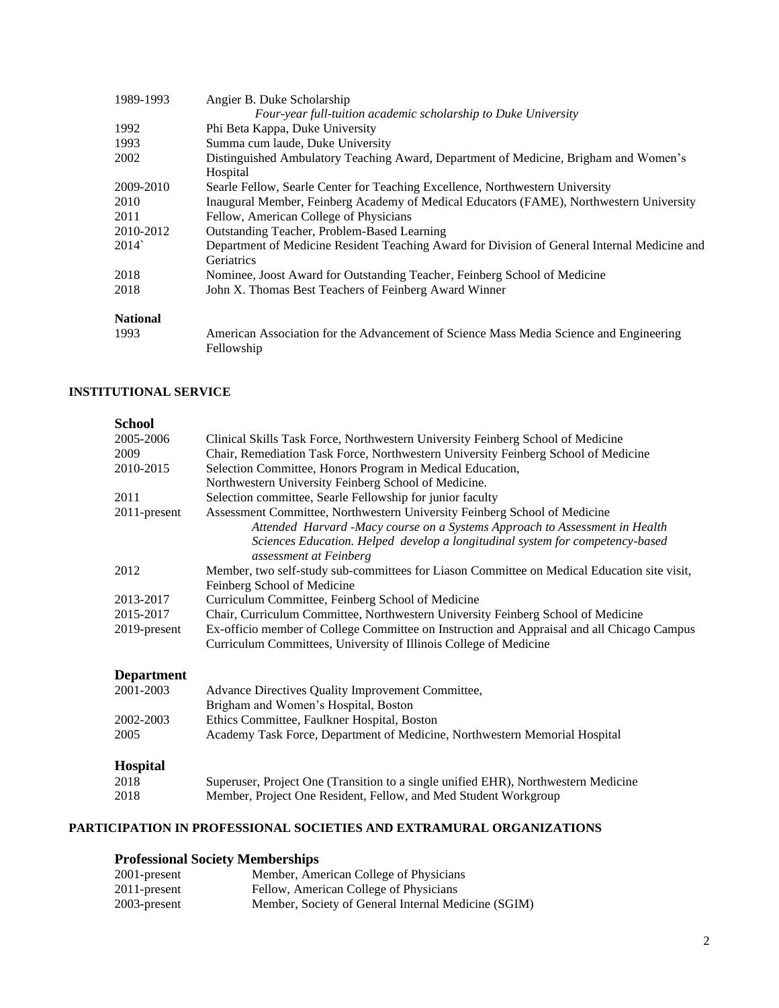| 1989-1993       | Angier B. Duke Scholarship                                                                                        |
|-----------------|-------------------------------------------------------------------------------------------------------------------|
|                 | Four-year full-tuition academic scholarship to Duke University                                                    |
| 1992            | Phi Beta Kappa, Duke University                                                                                   |
| 1993            | Summa cum laude, Duke University                                                                                  |
| 2002            | Distinguished Ambulatory Teaching Award, Department of Medicine, Brigham and Women's<br>Hospital                  |
| 2009-2010       | Searle Fellow, Searle Center for Teaching Excellence, Northwestern University                                     |
| 2010            | Inaugural Member, Feinberg Academy of Medical Educators (FAME), Northwestern University                           |
| 2011            | Fellow, American College of Physicians                                                                            |
| 2010-2012       | Outstanding Teacher, Problem-Based Learning                                                                       |
| 2014            | Department of Medicine Resident Teaching Award for Division of General Internal Medicine and<br><b>Geriatrics</b> |
| 2018            | Nominee, Joost Award for Outstanding Teacher, Feinberg School of Medicine                                         |
| 2018            | John X. Thomas Best Teachers of Feinberg Award Winner                                                             |
| <b>National</b> |                                                                                                                   |
| 1993            | American Association for the Advancement of Science Mass Media Science and Engineering<br>Fellowship              |

## **INSTITUTIONAL SERVICE**

| <b>School</b>     |                                                                                                         |
|-------------------|---------------------------------------------------------------------------------------------------------|
| 2005-2006         | Clinical Skills Task Force, Northwestern University Feinberg School of Medicine                         |
| 2009              | Chair, Remediation Task Force, Northwestern University Feinberg School of Medicine                      |
| 2010-2015         | Selection Committee, Honors Program in Medical Education,                                               |
|                   | Northwestern University Feinberg School of Medicine.                                                    |
| 2011              | Selection committee, Searle Fellowship for junior faculty                                               |
| 2011-present      | Assessment Committee, Northwestern University Feinberg School of Medicine                               |
|                   | Attended Harvard -Macy course on a Systems Approach to Assessment in Health                             |
|                   | Sciences Education. Helped develop a longitudinal system for competency-based<br>assessment at Feinberg |
| 2012              | Member, two self-study sub-committees for Liason Committee on Medical Education site visit,             |
|                   | Feinberg School of Medicine                                                                             |
| 2013-2017         | Curriculum Committee, Feinberg School of Medicine                                                       |
| 2015-2017         | Chair, Curriculum Committee, Northwestern University Feinberg School of Medicine                        |
| 2019-present      | Ex-officio member of College Committee on Instruction and Appraisal and all Chicago Campus              |
|                   | Curriculum Committees, University of Illinois College of Medicine                                       |
| <b>Department</b> |                                                                                                         |
| 2001-2003         | Advance Directives Quality Improvement Committee,                                                       |
|                   | Brigham and Women's Hospital, Boston                                                                    |
| 2002-2003         | Ethics Committee, Faulkner Hospital, Boston                                                             |
| 2005              | Academy Task Force, Department of Medicine, Northwestern Memorial Hospital                              |
| <b>Hospital</b>   |                                                                                                         |
| 2018              | Superuser, Project One (Transition to a single unified EHR), Northwestern Medicine                      |
| 2018              | Member, Project One Resident, Fellow, and Med Student Workgroup                                         |
|                   |                                                                                                         |

# **PARTICIPATION IN PROFESSIONAL SOCIETIES AND EXTRAMURAL ORGANIZATIONS**

# **Professional Society Memberships**

| 2001-present | Member, American College of Physicians              |
|--------------|-----------------------------------------------------|
| 2011-present | Fellow, American College of Physicians              |
| 2003-present | Member, Society of General Internal Medicine (SGIM) |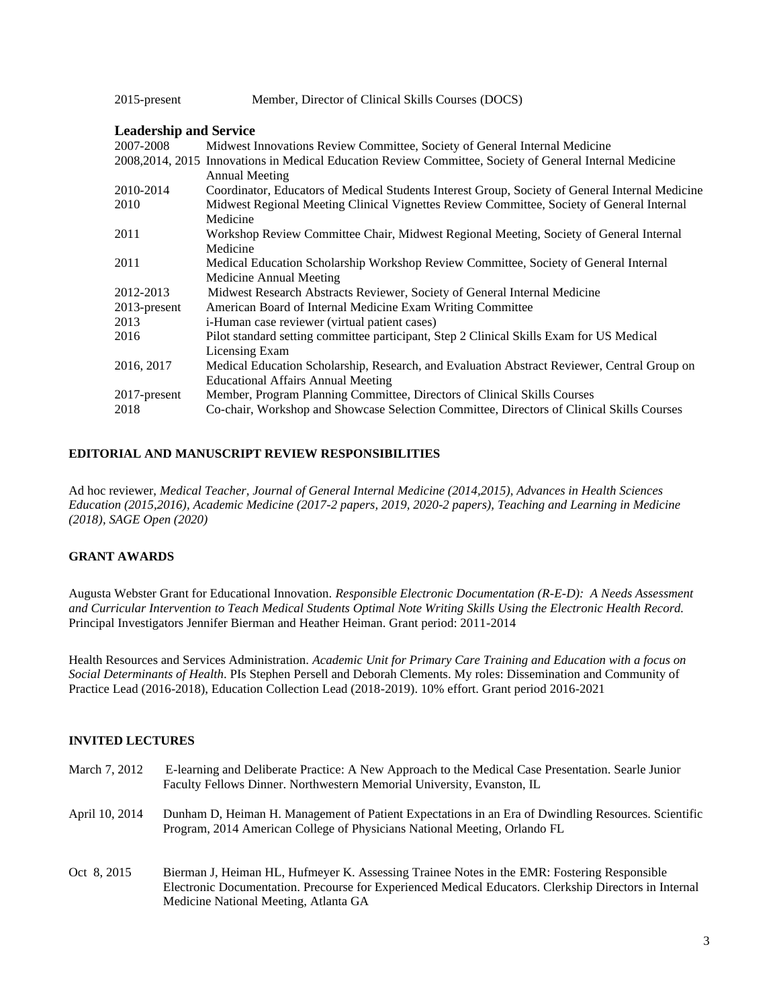| 2015-present | Member, Director of Clinical Skills Courses (DOCS) |  |
|--------------|----------------------------------------------------|--|
|              |                                                    |  |

### **Leadership and Service**

| 2007-2008       | Midwest Innovations Review Committee, Society of General Internal Medicine                               |
|-----------------|----------------------------------------------------------------------------------------------------------|
|                 | 2008, 2014, 2015 Innovations in Medical Education Review Committee, Society of General Internal Medicine |
|                 | <b>Annual Meeting</b>                                                                                    |
| 2010-2014       | Coordinator, Educators of Medical Students Interest Group, Society of General Internal Medicine          |
| 2010            | Midwest Regional Meeting Clinical Vignettes Review Committee, Society of General Internal                |
|                 | Medicine                                                                                                 |
| 2011            | Workshop Review Committee Chair, Midwest Regional Meeting, Society of General Internal                   |
|                 | Medicine                                                                                                 |
| 2011            | Medical Education Scholarship Workshop Review Committee, Society of General Internal                     |
|                 | Medicine Annual Meeting                                                                                  |
| 2012-2013       | Midwest Research Abstracts Reviewer, Society of General Internal Medicine                                |
| $2013$ -present | American Board of Internal Medicine Exam Writing Committee                                               |
| 2013            | i-Human case reviewer (virtual patient cases)                                                            |
| 2016            | Pilot standard setting committee participant, Step 2 Clinical Skills Exam for US Medical                 |
|                 | Licensing Exam                                                                                           |
| 2016, 2017      | Medical Education Scholarship, Research, and Evaluation Abstract Reviewer, Central Group on              |
|                 | <b>Educational Affairs Annual Meeting</b>                                                                |
| $2017$ -present | Member, Program Planning Committee, Directors of Clinical Skills Courses                                 |
| 2018            | Co-chair, Workshop and Showcase Selection Committee, Directors of Clinical Skills Courses                |
|                 |                                                                                                          |

## **EDITORIAL AND MANUSCRIPT REVIEW RESPONSIBILITIES**

Ad hoc reviewer, *Medical Teacher, Journal of General Internal Medicine (2014,2015), Advances in Health Sciences Education (2015,2016), Academic Medicine (2017-2 papers, 2019, 2020-2 papers), Teaching and Learning in Medicine (2018), SAGE Open (2020)*

## **GRANT AWARDS**

Augusta Webster Grant for Educational Innovation. *Responsible Electronic Documentation (R-E-D): A Needs Assessment and Curricular Intervention to Teach Medical Students Optimal Note Writing Skills Using the Electronic Health Record.* Principal Investigators Jennifer Bierman and Heather Heiman. Grant period: 2011-2014

Health Resources and Services Administration. *Academic Unit for Primary Care Training and Education with a focus on Social Determinants of Health*. PIs Stephen Persell and Deborah Clements. My roles: Dissemination and Community of Practice Lead (2016-2018), Education Collection Lead (2018-2019). 10% effort. Grant period 2016-2021

## **INVITED LECTURES**

| March 7, 2012  | E-learning and Deliberate Practice: A New Approach to the Medical Case Presentation. Searle Junior<br>Faculty Fellows Dinner. Northwestern Memorial University, Evanston, IL                                                                   |
|----------------|------------------------------------------------------------------------------------------------------------------------------------------------------------------------------------------------------------------------------------------------|
| April 10, 2014 | Dunham D, Heiman H. Management of Patient Expectations in an Era of Dwindling Resources. Scientific<br>Program, 2014 American College of Physicians National Meeting, Orlando FL                                                               |
| Oct 8, 2015    | Bierman J, Heiman HL, Hufmeyer K. Assessing Trainee Notes in the EMR: Fostering Responsible<br>Electronic Documentation. Precourse for Experienced Medical Educators. Clerkship Directors in Internal<br>Medicine National Meeting, Atlanta GA |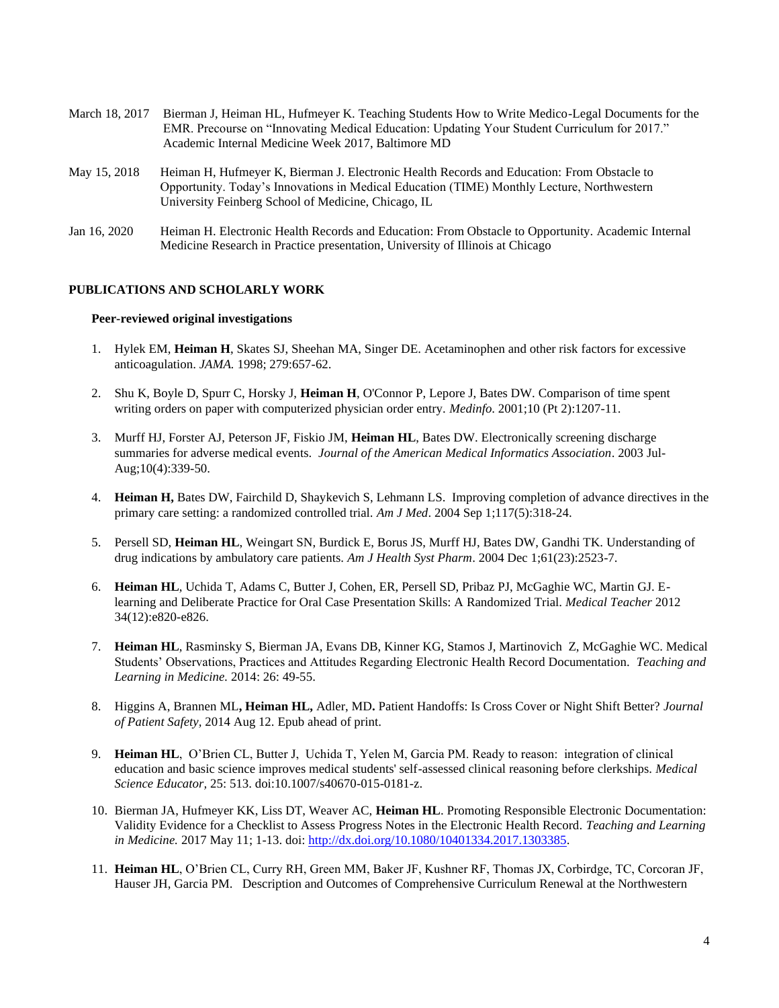| March 18, 2017         | Bierman J, Heiman HL, Hufmeyer K. Teaching Students How to Write Medico-Legal Documents for the<br>EMR. Precourse on "Innovating Medical Education: Updating Your Student Curriculum for 2017."<br>Academic Internal Medicine Week 2017, Baltimore MD |
|------------------------|-------------------------------------------------------------------------------------------------------------------------------------------------------------------------------------------------------------------------------------------------------|
| May 15, 2018           | Heiman H, Hufmeyer K, Bierman J. Electronic Health Records and Education: From Obstacle to<br>Opportunity. Today's Innovations in Medical Education (TIME) Monthly Lecture, Northwestern<br>University Feinberg School of Medicine, Chicago, IL       |
| $\lambda_{02}$ 16 2020 | Haiman H, Flastronia Hoalth Decords and Education: From Obstaals to Onnortunity, Academic Internal                                                                                                                                                    |

Jan 16, 2020 Heiman H. Electronic Health Records and Education: From Obstacle to Opportunity. Academic Internal Medicine Research in Practice presentation, University of Illinois at Chicago

## **PUBLICATIONS AND SCHOLARLY WORK**

#### **Peer-reviewed original investigations**

- 1. Hylek EM, **Heiman H**, Skates SJ, Sheehan MA, Singer DE. Acetaminophen and other risk factors for excessive anticoagulation. *JAMA.* 1998; 279:657-62.
- 2. Shu K, Boyle D, Spurr C, Horsky J, **Heiman H**, O'Connor P, Lepore J, Bates DW. Comparison of time spent writing orders on paper with computerized physician order entry. *Medinfo*. 2001;10 (Pt 2):1207-11.
- 3. Murff HJ, Forster AJ, Peterson JF, Fiskio JM, **Heiman HL**, Bates DW. Electronically screening discharge summaries for adverse medical events. *Journal of the American Medical Informatics Association*. 2003 Jul-Aug;10(4):339-50.
- 4. **Heiman H,** Bates DW, Fairchild D, Shaykevich S, Lehmann LS. Improving completion of advance directives in the primary care setting: a randomized controlled trial. *Am J Med*. 2004 Sep 1;117(5):318-24.
- 5. Persell SD, **Heiman HL**, Weingart SN, Burdick E, Borus JS, Murff HJ, Bates DW, Gandhi TK. Understanding of drug indications by ambulatory care patients. *Am J Health Syst Pharm*. 2004 Dec 1;61(23):2523-7.
- 6. **Heiman HL**, Uchida T, Adams C, Butter J, Cohen, ER, Persell SD, Pribaz PJ, McGaghie WC, Martin GJ. Elearning and Deliberate Practice for Oral Case Presentation Skills: A Randomized Trial. *Medical Teacher* 2012 34(12):e820-e826.
- 7. **Heiman HL**, Rasminsky S, Bierman JA, Evans DB, Kinner KG, Stamos J, Martinovich Z, McGaghie WC. Medical Students' Observations, Practices and Attitudes Regarding Electronic Health Record Documentation. *Teaching and Learning in Medicine.* 2014: 26: 49-55.
- 8. Higgins A, Brannen ML**, Heiman HL,** Adler, MD**.** Patient Handoffs: Is Cross Cover or Night Shift Better? *Journal of Patient Safety,* 2014 Aug 12. Epub ahead of print.
- 9. **Heiman HL**, O'Brien CL, Butter J, Uchida T, Yelen M, Garcia PM. Ready to reason: integration of clinical education and basic science improves medical students' self-assessed clinical reasoning before clerkships. *Medical Science Educator,* 25: 513. doi:10.1007/s40670-015-0181-z.
- 10. Bierman JA, Hufmeyer KK, Liss DT, Weaver AC, **Heiman HL**. Promoting Responsible Electronic Documentation: Validity Evidence for a Checklist to Assess Progress Notes in the Electronic Health Record. *Teaching and Learning in Medicine.* 2017 May 11; 1-13. doi[: http://dx.doi.org/10.1080/10401334.2017.1303385.](http://dx.doi.org/10.1080/10401334.2017.1303385)
- 11. **Heiman HL**, O'Brien CL, Curry RH, Green MM, Baker JF, Kushner RF, Thomas JX, Corbirdge, TC, Corcoran JF, Hauser JH, Garcia PM. Description and Outcomes of Comprehensive Curriculum Renewal at the Northwestern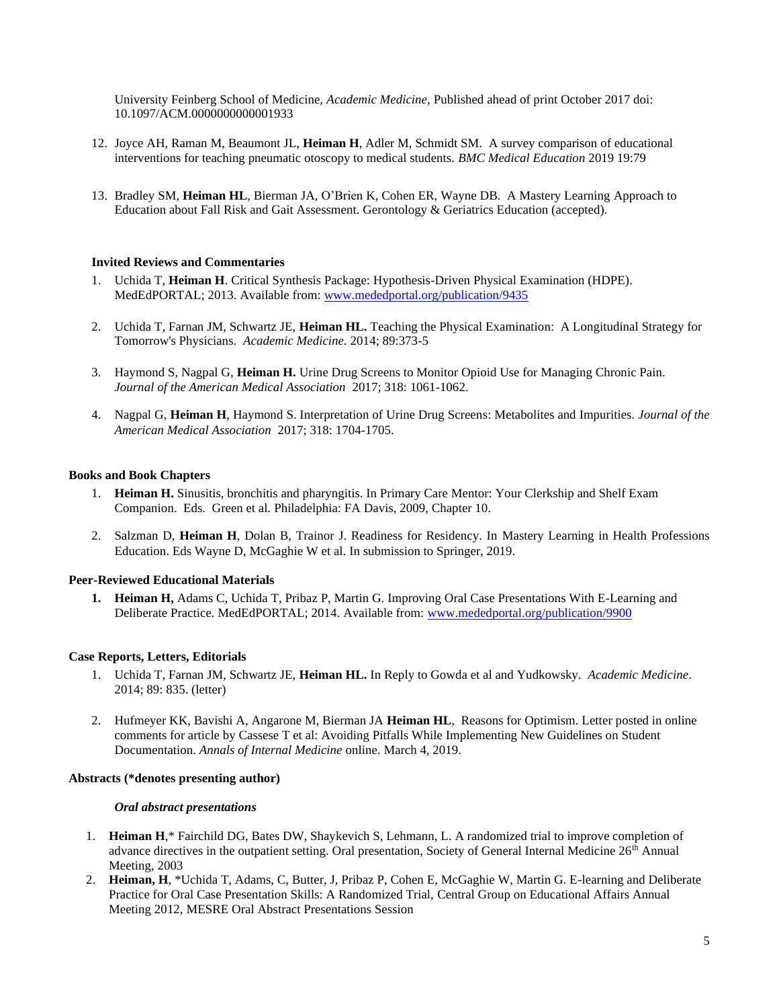University Feinberg School of Medicine, *Academic Medicine,* Published ahead of print October 2017 doi: 10.1097/ACM.0000000000001933

- 12. Joyce AH, Raman M, Beaumont JL, **Heiman H**, Adler M, Schmidt SM. A survey comparison of educational interventions for teaching pneumatic otoscopy to medical students. *BMC Medical Education* 2019 19:79
- 13. Bradley SM, **Heiman HL**, Bierman JA, O'Brien K, Cohen ER, Wayne DB. A Mastery Learning Approach to Education about Fall Risk and Gait Assessment. Gerontology & Geriatrics Education (accepted).

### **Invited Reviews and Commentaries**

- 1. Uchida T, **Heiman H**. Critical Synthesis Package: Hypothesis-Driven Physical Examination (HDPE). MedEdPORTAL; 2013. Available from[: www.mededportal.org/publication/9435](http://www.mededportal.org/publication/9435)
- 2. Uchida T, Farnan JM, Schwartz JE, **Heiman HL.** Teaching the Physical Examination: A Longitudinal Strategy for Tomorrow's Physicians. *Academic Medicine.* 2014; 89:373-5
- 3. Haymond S, Nagpal G, **Heiman H.** Urine Drug Screens to Monitor Opioid Use for Managing Chronic Pain. *Journal of the American Medical Association* 2017; 318: 1061-1062.
- 4. Nagpal G, **Heiman H**, Haymond S. Interpretation of Urine Drug Screens: Metabolites and Impurities. *Journal of the American Medical Association* 2017; 318: 1704-1705.

#### **Books and Book Chapters**

- 1. **Heiman H.** Sinusitis, bronchitis and pharyngitis. In Primary Care Mentor: Your Clerkship and Shelf Exam Companion. Eds. Green et al. Philadelphia: FA Davis, 2009, Chapter 10.
- 2. Salzman D, **Heiman H**, Dolan B, Trainor J. Readiness for Residency. In Mastery Learning in Health Professions Education. Eds Wayne D, McGaghie W et al. In submission to Springer, 2019.

#### **Peer-Reviewed Educational Materials**

**1. Heiman H,** Adams C, Uchida T, Pribaz P, Martin G. Improving Oral Case Presentations With E-Learning and Deliberate Practice. MedEdPORTAL; 2014. Available from: [www.mededportal.org/publication/9900](https://www.mededportal.org/publication/9900)

#### **Case Reports, Letters, Editorials**

- 1. Uchida T, Farnan JM, Schwartz JE, **Heiman HL.** In Reply to Gowda et al and Yudkowsky. *Academic Medicine*. 2014; 89: 835. (letter)
- 2. Hufmeyer KK, Bavishi A, Angarone M, Bierman JA **Heiman HL**, Reasons for Optimism. Letter posted in online comments for article by Cassese T et al: Avoiding Pitfalls While Implementing New Guidelines on Student Documentation. *Annals of Internal Medicine* online. March 4, 2019.

#### **Abstracts (\*denotes presenting author)**

#### *Oral abstract presentations*

- 1. **Heiman H**,\* Fairchild DG, Bates DW, Shaykevich S, Lehmann, L. A randomized trial to improve completion of advance directives in the outpatient setting. Oral presentation, Society of General Internal Medicine 26<sup>th</sup> Annual Meeting, 2003
- 2. **Heiman, H**, \*Uchida T, Adams, C, Butter, J, Pribaz P, Cohen E, McGaghie W, Martin G. E-learning and Deliberate Practice for Oral Case Presentation Skills: A Randomized Trial, Central Group on Educational Affairs Annual Meeting 2012, MESRE Oral Abstract Presentations Session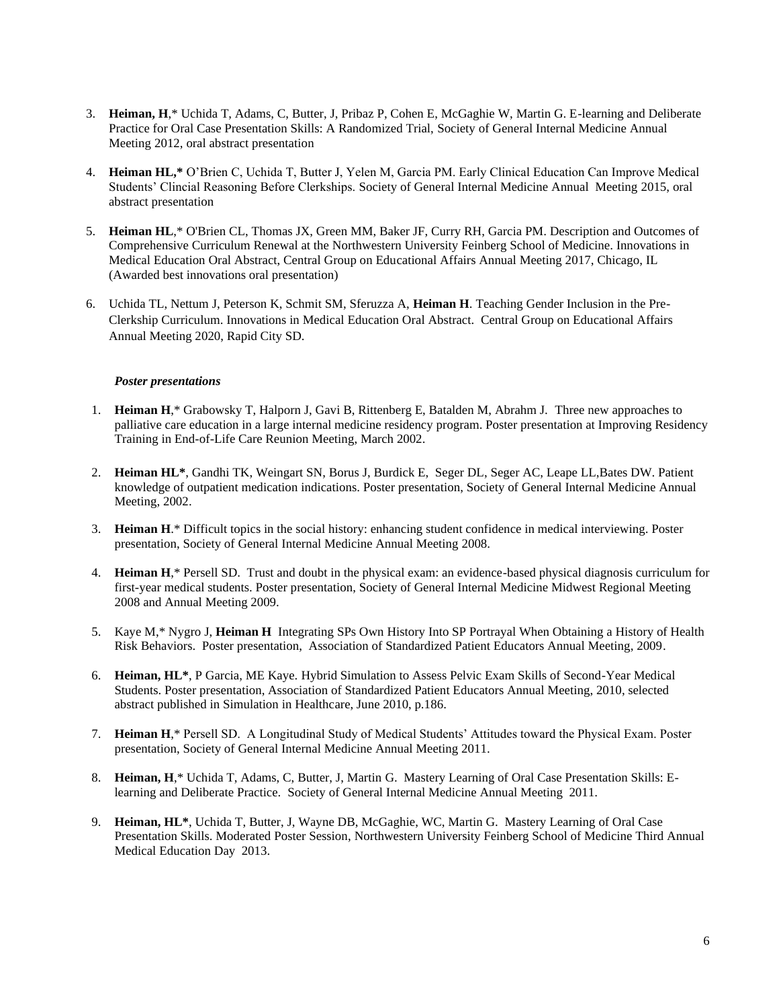- 3. **Heiman, H**,\* Uchida T, Adams, C, Butter, J, Pribaz P, Cohen E, McGaghie W, Martin G. E-learning and Deliberate Practice for Oral Case Presentation Skills: A Randomized Trial, Society of General Internal Medicine Annual Meeting 2012, oral abstract presentation
- 4. **Heiman HL,\*** O'Brien C, Uchida T, Butter J, Yelen M, Garcia PM. Early Clinical Education Can Improve Medical Students' Clincial Reasoning Before Clerkships. Society of General Internal Medicine Annual Meeting 2015, oral abstract presentation
- 5. **Heiman HL**,\* O'Brien CL, Thomas JX, Green MM, Baker JF, Curry RH, Garcia PM. Description and Outcomes of Comprehensive Curriculum Renewal at the Northwestern University Feinberg School of Medicine. Innovations in Medical Education Oral Abstract, Central Group on Educational Affairs Annual Meeting 2017, Chicago, IL (Awarded best innovations oral presentation)
- 6. Uchida TL, Nettum J, Peterson K, Schmit SM, Sferuzza A, **Heiman H**. Teaching Gender Inclusion in the Pre-Clerkship Curriculum. Innovations in Medical Education Oral Abstract. Central Group on Educational Affairs Annual Meeting 2020, Rapid City SD.

### *Poster presentations*

- 1. **Heiman H**,\* Grabowsky T, Halporn J, Gavi B, Rittenberg E, Batalden M, Abrahm J. Three new approaches to palliative care education in a large internal medicine residency program. Poster presentation at Improving Residency Training in End-of-Life Care Reunion Meeting, March 2002.
- 2. **Heiman HL\***, Gandhi TK, Weingart SN, Borus J, Burdick E, Seger DL, Seger AC, Leape LL,Bates DW. Patient knowledge of outpatient medication indications. Poster presentation, Society of General Internal Medicine Annual Meeting, 2002.
- 3. **Heiman H**.\* Difficult topics in the social history: enhancing student confidence in medical interviewing. Poster presentation, Society of General Internal Medicine Annual Meeting 2008.
- 4. **Heiman H**,\* Persell SD. Trust and doubt in the physical exam: an evidence-based physical diagnosis curriculum for first-year medical students. Poster presentation, Society of General Internal Medicine Midwest Regional Meeting 2008 and Annual Meeting 2009.
- 5. Kaye M,\* Nygro J, **Heiman H** Integrating SPs Own History Into SP Portrayal When Obtaining a History of Health Risk Behaviors. Poster presentation, Association of Standardized Patient Educators Annual Meeting, 2009.
- 6. **Heiman, HL\***, P Garcia, ME Kaye. Hybrid Simulation to Assess Pelvic Exam Skills of Second-Year Medical Students. Poster presentation, Association of Standardized Patient Educators Annual Meeting, 2010, selected abstract published in Simulation in Healthcare, June 2010, p.186.
- 7. **Heiman H**,\* Persell SD. A Longitudinal Study of Medical Students' Attitudes toward the Physical Exam. Poster presentation, Society of General Internal Medicine Annual Meeting 2011.
- 8. **Heiman, H**,\* Uchida T, Adams, C, Butter, J, Martin G. Mastery Learning of Oral Case Presentation Skills: Elearning and Deliberate Practice. Society of General Internal Medicine Annual Meeting 2011.
- 9. **Heiman, HL\***, Uchida T, Butter, J, Wayne DB, McGaghie, WC, Martin G. Mastery Learning of Oral Case Presentation Skills. Moderated Poster Session, Northwestern University Feinberg School of Medicine Third Annual Medical Education Day 2013.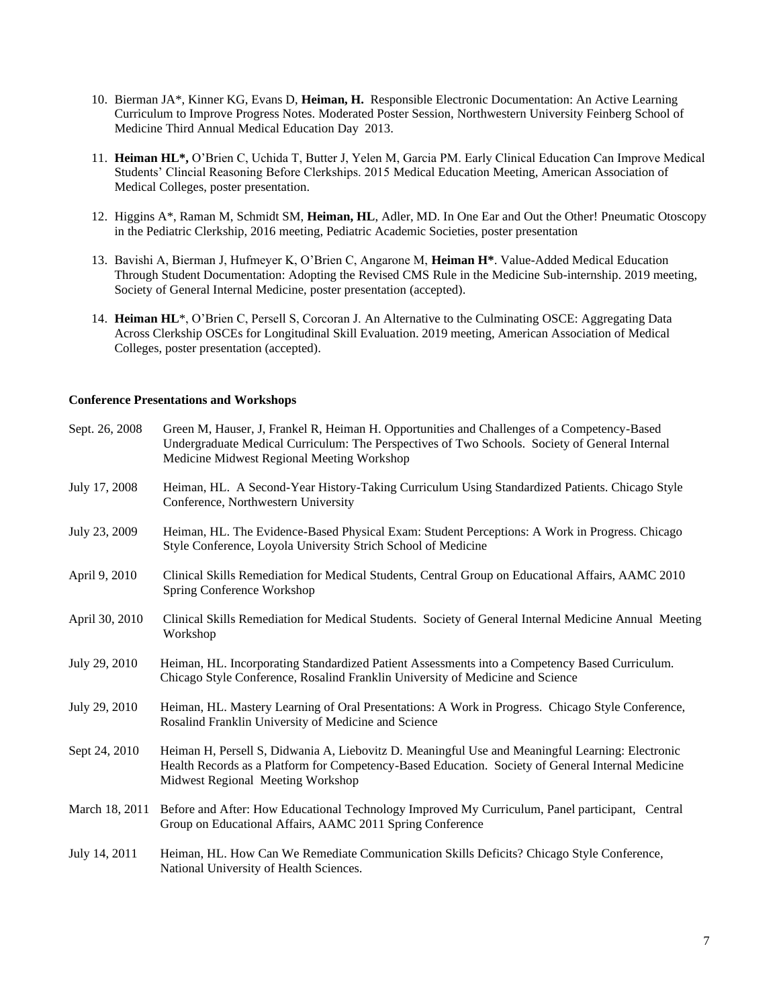- 10. Bierman JA\*, Kinner KG, Evans D, **Heiman, H.** Responsible Electronic Documentation: An Active Learning Curriculum to Improve Progress Notes. Moderated Poster Session, Northwestern University Feinberg School of Medicine Third Annual Medical Education Day 2013.
- 11. **Heiman HL\*,** O'Brien C, Uchida T, Butter J, Yelen M, Garcia PM. Early Clinical Education Can Improve Medical Students' Clincial Reasoning Before Clerkships. 2015 Medical Education Meeting, American Association of Medical Colleges, poster presentation.
- 12. Higgins A\*, Raman M, Schmidt SM, **Heiman, HL**, Adler, MD. In One Ear and Out the Other! Pneumatic Otoscopy in the Pediatric Clerkship, 2016 meeting, Pediatric Academic Societies, poster presentation
- 13. Bavishi A, Bierman J, Hufmeyer K, O'Brien C, Angarone M, **Heiman H\***. Value-Added Medical Education Through Student Documentation: Adopting the Revised CMS Rule in the Medicine Sub-internship. 2019 meeting, Society of General Internal Medicine, poster presentation (accepted).
- 14. **Heiman HL**\*, O'Brien C, Persell S, Corcoran J. An Alternative to the Culminating OSCE: Aggregating Data Across Clerkship OSCEs for Longitudinal Skill Evaluation. 2019 meeting, American Association of Medical Colleges, poster presentation (accepted).

### **Conference Presentations and Workshops**

| Sept. 26, 2008 | Green M, Hauser, J, Frankel R, Heiman H. Opportunities and Challenges of a Competency-Based<br>Undergraduate Medical Curriculum: The Perspectives of Two Schools. Society of General Internal<br>Medicine Midwest Regional Meeting Workshop |
|----------------|---------------------------------------------------------------------------------------------------------------------------------------------------------------------------------------------------------------------------------------------|
| July 17, 2008  | Heiman, HL. A Second-Year History-Taking Curriculum Using Standardized Patients. Chicago Style<br>Conference, Northwestern University                                                                                                       |
| July 23, 2009  | Heiman, HL. The Evidence-Based Physical Exam: Student Perceptions: A Work in Progress. Chicago<br>Style Conference, Loyola University Strich School of Medicine                                                                             |
| April 9, 2010  | Clinical Skills Remediation for Medical Students, Central Group on Educational Affairs, AAMC 2010<br>Spring Conference Workshop                                                                                                             |
| April 30, 2010 | Clinical Skills Remediation for Medical Students. Society of General Internal Medicine Annual Meeting<br>Workshop                                                                                                                           |
| July 29, 2010  | Heiman, HL. Incorporating Standardized Patient Assessments into a Competency Based Curriculum.<br>Chicago Style Conference, Rosalind Franklin University of Medicine and Science                                                            |
| July 29, 2010  | Heiman, HL. Mastery Learning of Oral Presentations: A Work in Progress. Chicago Style Conference,<br>Rosalind Franklin University of Medicine and Science                                                                                   |
| Sept 24, 2010  | Heiman H, Persell S, Didwania A, Liebovitz D. Meaningful Use and Meaningful Learning: Electronic<br>Health Records as a Platform for Competency-Based Education. Society of General Internal Medicine<br>Midwest Regional Meeting Workshop  |
| March 18, 2011 | Before and After: How Educational Technology Improved My Curriculum, Panel participant, Central<br>Group on Educational Affairs, AAMC 2011 Spring Conference                                                                                |
| July 14, 2011  | Heiman, HL. How Can We Remediate Communication Skills Deficits? Chicago Style Conference,<br>National University of Health Sciences.                                                                                                        |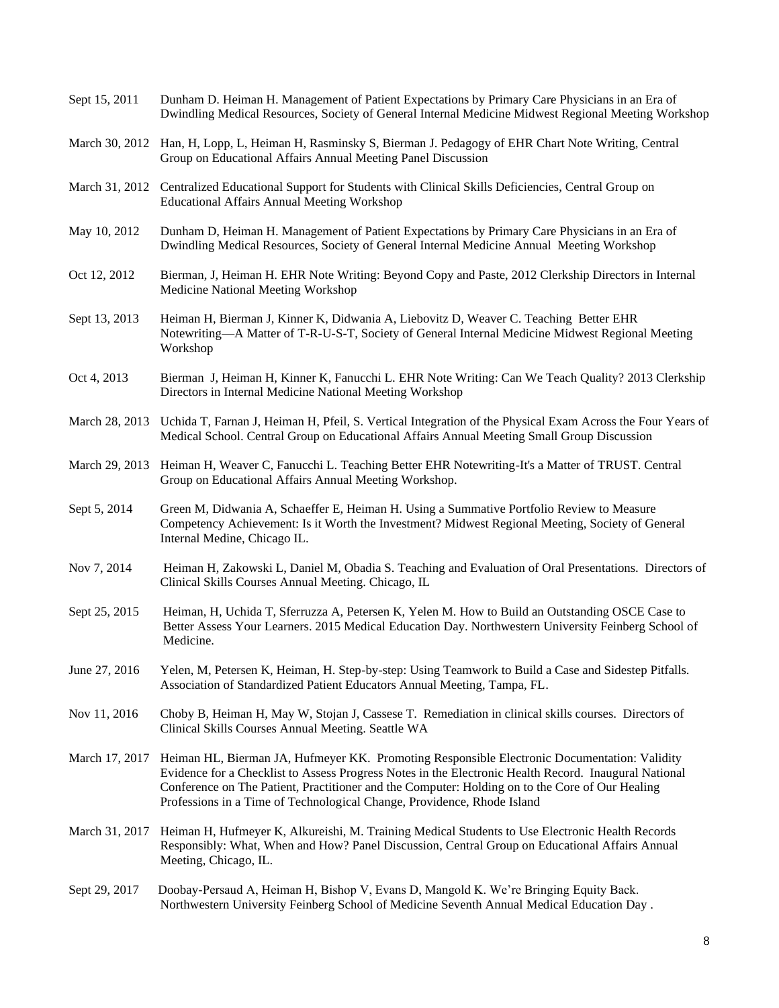| Sept 15, 2011  | Dunham D. Heiman H. Management of Patient Expectations by Primary Care Physicians in an Era of<br>Dwindling Medical Resources, Society of General Internal Medicine Midwest Regional Meeting Workshop                                                                                                                                                                               |
|----------------|-------------------------------------------------------------------------------------------------------------------------------------------------------------------------------------------------------------------------------------------------------------------------------------------------------------------------------------------------------------------------------------|
|                | March 30, 2012 Han, H, Lopp, L, Heiman H, Rasminsky S, Bierman J. Pedagogy of EHR Chart Note Writing, Central<br>Group on Educational Affairs Annual Meeting Panel Discussion                                                                                                                                                                                                       |
| March 31, 2012 | Centralized Educational Support for Students with Clinical Skills Deficiencies, Central Group on<br><b>Educational Affairs Annual Meeting Workshop</b>                                                                                                                                                                                                                              |
| May 10, 2012   | Dunham D, Heiman H. Management of Patient Expectations by Primary Care Physicians in an Era of<br>Dwindling Medical Resources, Society of General Internal Medicine Annual Meeting Workshop                                                                                                                                                                                         |
| Oct 12, 2012   | Bierman, J, Heiman H. EHR Note Writing: Beyond Copy and Paste, 2012 Clerkship Directors in Internal<br>Medicine National Meeting Workshop                                                                                                                                                                                                                                           |
| Sept 13, 2013  | Heiman H, Bierman J, Kinner K, Didwania A, Liebovitz D, Weaver C. Teaching Better EHR<br>Notewriting—A Matter of T-R-U-S-T, Society of General Internal Medicine Midwest Regional Meeting<br>Workshop                                                                                                                                                                               |
| Oct 4, 2013    | Bierman J, Heiman H, Kinner K, Fanucchi L. EHR Note Writing: Can We Teach Quality? 2013 Clerkship<br>Directors in Internal Medicine National Meeting Workshop                                                                                                                                                                                                                       |
| March 28, 2013 | Uchida T, Farnan J, Heiman H, Pfeil, S. Vertical Integration of the Physical Exam Across the Four Years of<br>Medical School. Central Group on Educational Affairs Annual Meeting Small Group Discussion                                                                                                                                                                            |
| March 29, 2013 | Heiman H, Weaver C, Fanucchi L. Teaching Better EHR Notewriting-It's a Matter of TRUST. Central<br>Group on Educational Affairs Annual Meeting Workshop.                                                                                                                                                                                                                            |
| Sept 5, 2014   | Green M, Didwania A, Schaeffer E, Heiman H. Using a Summative Portfolio Review to Measure<br>Competency Achievement: Is it Worth the Investment? Midwest Regional Meeting, Society of General<br>Internal Medine, Chicago IL.                                                                                                                                                       |
| Nov 7, 2014    | Heiman H, Zakowski L, Daniel M, Obadia S. Teaching and Evaluation of Oral Presentations. Directors of<br>Clinical Skills Courses Annual Meeting. Chicago, IL                                                                                                                                                                                                                        |
| Sept 25, 2015  | Heiman, H, Uchida T, Sferruzza A, Petersen K, Yelen M. How to Build an Outstanding OSCE Case to<br>Better Assess Your Learners. 2015 Medical Education Day. Northwestern University Feinberg School of<br>Medicine.                                                                                                                                                                 |
| June 27, 2016  | Yelen, M, Petersen K, Heiman, H. Step-by-step: Using Teamwork to Build a Case and Sidestep Pitfalls.<br>Association of Standardized Patient Educators Annual Meeting, Tampa, FL.                                                                                                                                                                                                    |
| Nov 11, 2016   | Choby B, Heiman H, May W, Stojan J, Cassese T. Remediation in clinical skills courses. Directors of<br>Clinical Skills Courses Annual Meeting. Seattle WA                                                                                                                                                                                                                           |
| March 17, 2017 | Heiman HL, Bierman JA, Hufmeyer KK. Promoting Responsible Electronic Documentation: Validity<br>Evidence for a Checklist to Assess Progress Notes in the Electronic Health Record. Inaugural National<br>Conference on The Patient, Practitioner and the Computer: Holding on to the Core of Our Healing<br>Professions in a Time of Technological Change, Providence, Rhode Island |
| March 31, 2017 | Heiman H, Hufmeyer K, Alkureishi, M. Training Medical Students to Use Electronic Health Records<br>Responsibly: What, When and How? Panel Discussion, Central Group on Educational Affairs Annual<br>Meeting, Chicago, IL.                                                                                                                                                          |
| Sept 29, 2017  | Doobay-Persaud A, Heiman H, Bishop V, Evans D, Mangold K. We're Bringing Equity Back.<br>Northwestern University Feinberg School of Medicine Seventh Annual Medical Education Day.                                                                                                                                                                                                  |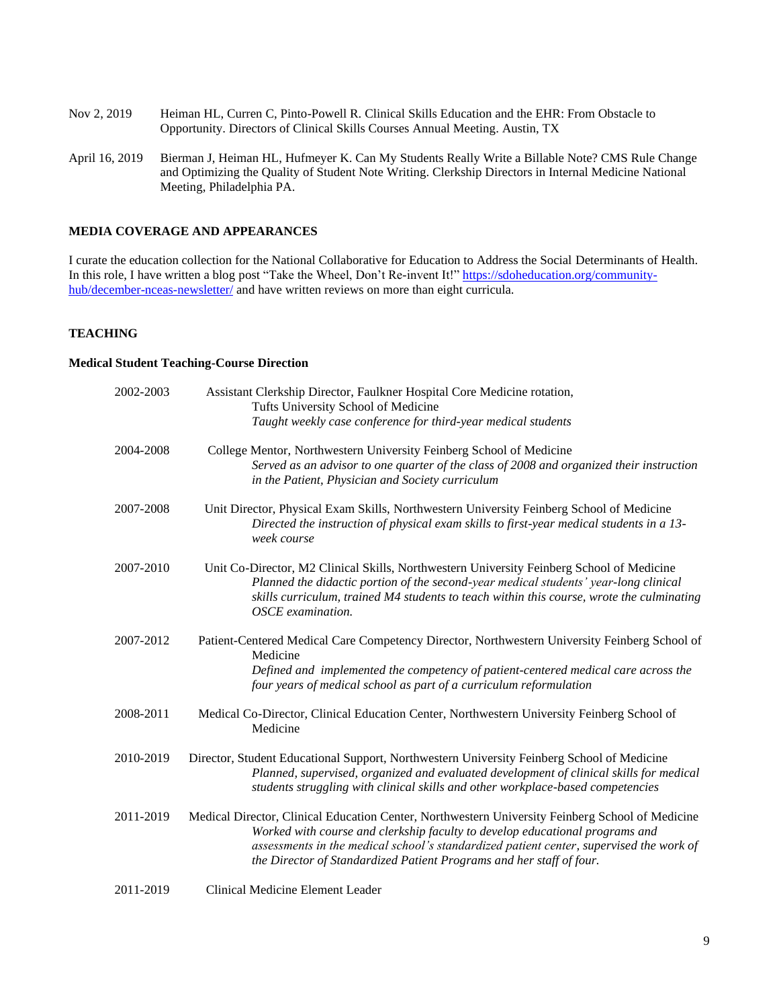- Nov 2, 2019 Heiman HL, Curren C, Pinto-Powell R. Clinical Skills Education and the EHR: From Obstacle to Opportunity. Directors of Clinical Skills Courses Annual Meeting. Austin, TX
- April 16, 2019 Bierman J, Heiman HL, Hufmeyer K. Can My Students Really Write a Billable Note? CMS Rule Change and Optimizing the Quality of Student Note Writing. Clerkship Directors in Internal Medicine National Meeting, Philadelphia PA.

## **MEDIA COVERAGE AND APPEARANCES**

I curate the education collection for the National Collaborative for Education to Address the Social Determinants of Health. In this role, I have written a blog post "Take the Wheel, Don't Re-invent It![" https://sdoheducation.org/community](https://sdoheducation.org/community-hub/december-nceas-newsletter/)[hub/december-nceas-newsletter/](https://sdoheducation.org/community-hub/december-nceas-newsletter/) and have written reviews on more than eight curricula.

## **TEACHING**

### **Medical Student Teaching-Course Direction**

| 2002-2003 | Assistant Clerkship Director, Faulkner Hospital Core Medicine rotation,<br>Tufts University School of Medicine<br>Taught weekly case conference for third-year medical students                                                                                                                                                                     |
|-----------|-----------------------------------------------------------------------------------------------------------------------------------------------------------------------------------------------------------------------------------------------------------------------------------------------------------------------------------------------------|
| 2004-2008 | College Mentor, Northwestern University Feinberg School of Medicine<br>Served as an advisor to one quarter of the class of 2008 and organized their instruction<br>in the Patient, Physician and Society curriculum                                                                                                                                 |
| 2007-2008 | Unit Director, Physical Exam Skills, Northwestern University Feinberg School of Medicine<br>Directed the instruction of physical exam skills to first-year medical students in a 13-<br>week course                                                                                                                                                 |
| 2007-2010 | Unit Co-Director, M2 Clinical Skills, Northwestern University Feinberg School of Medicine<br>Planned the didactic portion of the second-year medical students' year-long clinical<br>skills curriculum, trained M4 students to teach within this course, wrote the culminating<br>OSCE examination.                                                 |
| 2007-2012 | Patient-Centered Medical Care Competency Director, Northwestern University Feinberg School of<br>Medicine<br>Defined and implemented the competency of patient-centered medical care across the<br>four years of medical school as part of a curriculum reformulation                                                                               |
| 2008-2011 | Medical Co-Director, Clinical Education Center, Northwestern University Feinberg School of<br>Medicine                                                                                                                                                                                                                                              |
| 2010-2019 | Director, Student Educational Support, Northwestern University Feinberg School of Medicine<br>Planned, supervised, organized and evaluated development of clinical skills for medical<br>students struggling with clinical skills and other workplace-based competencies                                                                            |
| 2011-2019 | Medical Director, Clinical Education Center, Northwestern University Feinberg School of Medicine<br>Worked with course and clerkship faculty to develop educational programs and<br>assessments in the medical school's standardized patient center, supervised the work of<br>the Director of Standardized Patient Programs and her staff of four. |
| 2011-2019 | Clinical Medicine Element Leader                                                                                                                                                                                                                                                                                                                    |